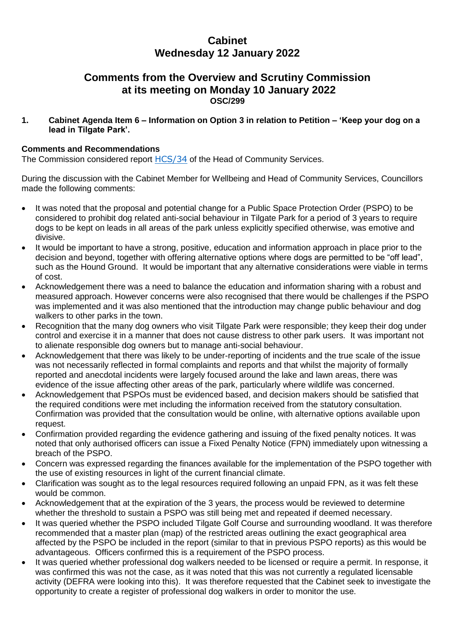# **Cabinet Wednesday 12 January 2022**

## **Comments from the Overview and Scrutiny Commission at its meeting on Monday 10 January 2022 OSC/299**

**1. Cabinet Agenda Item 6 – Information on Option 3 in relation to Petition – 'Keep your dog on a lead in Tilgate Park'.**

#### **Comments and Recommendations**

The Commission considered report [HCS/34](https://democracy.crawley.gov.uk/documents/s21225/5%20HCS34%20Information%20on%20Option%203%20in%20relation%20to%20Petition%20Keep%20your%20dog%20on%20a%20lead%20in%20Tilgate%20Park.pdf) of the Head of Community Services.

During the discussion with the Cabinet Member for Wellbeing and Head of Community Services, Councillors made the following comments:

- It was noted that the proposal and potential change for a Public Space Protection Order (PSPO) to be considered to prohibit dog related anti-social behaviour in Tilgate Park for a period of 3 years to require dogs to be kept on leads in all areas of the park unless explicitly specified otherwise, was emotive and divisive.
- It would be important to have a strong, positive, education and information approach in place prior to the decision and beyond, together with offering alternative options where dogs are permitted to be "off lead", such as the Hound Ground. It would be important that any alternative considerations were viable in terms of cost.
- Acknowledgement there was a need to balance the education and information sharing with a robust and measured approach. However concerns were also recognised that there would be challenges if the PSPO was implemented and it was also mentioned that the introduction may change public behaviour and dog walkers to other parks in the town.
- Recognition that the many dog owners who visit Tilgate Park were responsible; they keep their dog under control and exercise it in a manner that does not cause distress to other park users. It was important not to alienate responsible dog owners but to manage anti-social behaviour.
- Acknowledgement that there was likely to be under-reporting of incidents and the true scale of the issue was not necessarily reflected in formal complaints and reports and that whilst the majority of formally reported and anecdotal incidents were largely focused around the lake and lawn areas, there was evidence of the issue affecting other areas of the park, particularly where wildlife was concerned.
- Acknowledgement that PSPOs must be evidenced based, and decision makers should be satisfied that the required conditions were met including the information received from the statutory consultation. Confirmation was provided that the consultation would be online, with alternative options available upon request.
- Confirmation provided regarding the evidence gathering and issuing of the fixed penalty notices. It was noted that only authorised officers can issue a Fixed Penalty Notice (FPN) immediately upon witnessing a breach of the PSPO.
- Concern was expressed regarding the finances available for the implementation of the PSPO together with the use of existing resources in light of the current financial climate.
- Clarification was sought as to the legal resources required following an unpaid FPN, as it was felt these would be common.
- Acknowledgement that at the expiration of the 3 years, the process would be reviewed to determine whether the threshold to sustain a PSPO was still being met and repeated if deemed necessary.
- It was queried whether the PSPO included Tilgate Golf Course and surrounding woodland. It was therefore recommended that a master plan (map) of the restricted areas outlining the exact geographical area affected by the PSPO be included in the report (similar to that in previous PSPO reports) as this would be advantageous. Officers confirmed this is a requirement of the PSPO process.
- It was queried whether professional dog walkers needed to be licensed or require a permit. In response, it was confirmed this was not the case, as it was noted that this was not currently a regulated licensable activity (DEFRA were looking into this). It was therefore requested that the Cabinet seek to investigate the opportunity to create a register of professional dog walkers in order to monitor the use.